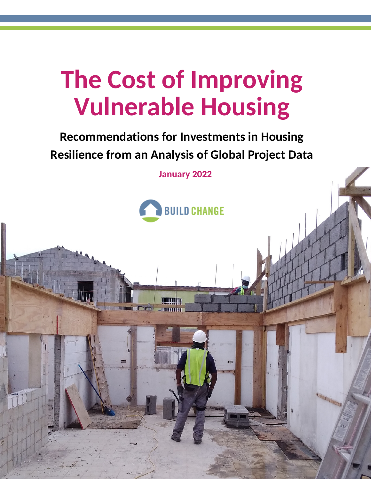# **The Cost of Improving Vulnerable Housing**

## **Recommendations for Investments in Housing Resilience from an Analysis of Global Project Data**

**January 2022**



morruhm

STANDARD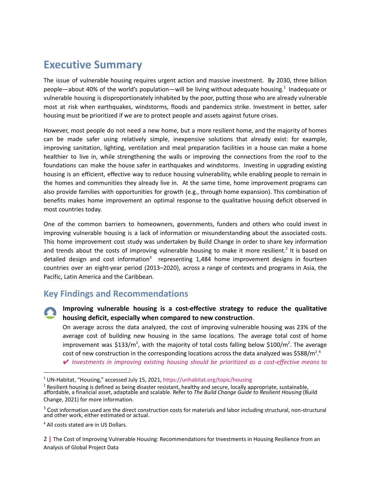### **Executive Summary**

The issue of vulnerable housing requires urgent action and massive investment. By 2030, three billion people—about 40% of the world's population—will be living without adequate housing.<sup>1</sup> Inadequate or vulnerable housing is disproportionately inhabited by the poor, putting those who are already vulnerable most at risk when earthquakes, windstorms, floods and pandemics strike. Investment in better, safer housing must be prioritized if we are to protect people and assets against future crises.

However, most people do not need a new home, but a more resilient home, and the majority of homes can be made safer using relatively simple, inexpensive solutions that already exist: for example, improving sanitation, lighting, ventilation and meal preparation facilities in a house can make a home healthier to live in, while strengthening the walls or improving the connections from the roof to the foundations can make the house safer in earthquakes and windstorms. Investing in upgrading existing housing is an efficient, effective way to reduce housing vulnerability, while enabling people to remain in the homes and communities they already live in. At the same time, home improvement programs can also provide families with opportunities for growth (e.g., through home expansion). This combination of benefits makes home improvement an optimal response to the qualitative housing deficit observed in most countries today.

One of the common barriers to homeowners, governments, funders and others who could invest in improving vulnerable housing is a lack of information or misunderstanding about the associated costs. This home improvement cost study was undertaken by Build Change in order to share key information and trends about the costs of improving vulnerable housing to make it more resilient.<sup>2</sup> It is based on detailed design and cost information<sup>3</sup> representing 1,484 home improvement designs in fourteen countries over an eight-year period (2013–2020), across a range of contexts and programs in Asia, the Pacific, Latin America and the Caribbean.

#### **Key Findings and Recommendations**

**Improving vulnerable housing is a cost-effective strategy to reduce the qualitative housing deficit, especially when compared to new construction**.

On average across the data analyzed, the cost of improving vulnerable housing was 23% of the average cost of building new housing in the same locations. The average total cost of home improvement was \$133/m<sup>2</sup>, with the majority of total costs falling below \$100/m<sup>2</sup>. The average cost of new construction in the corresponding locations across the data analyzed was \$588/m<sup>2</sup>.<sup>4</sup>

✔ *Investments in improving existing housing should be prioritized as a cost-effective means to*

2 **|** The Cost of Improving Vulnerable Housing: Recommendations for Investments in Housing Resilience from an Analysis of Global Project Data

<sup>1</sup> UN-Habitat, "Housing," accessed July 15, 2021, https://unhabitat.org/topic/housing

 $^2$  Resilient housing is defined as being disaster resistant, healthy and secure, locally appropriate, sustainable, affordable, a financial asset, adaptable and scalable. Refer to *The Build Change Guide to Resilient Housing* (Build Change, 2021) for more information.

 $3$  Cost information used are the direct construction costs for materials and labor including structural, non-structural and other work, either estimated or actual.

<sup>4</sup> All costs stated are in US Dollars.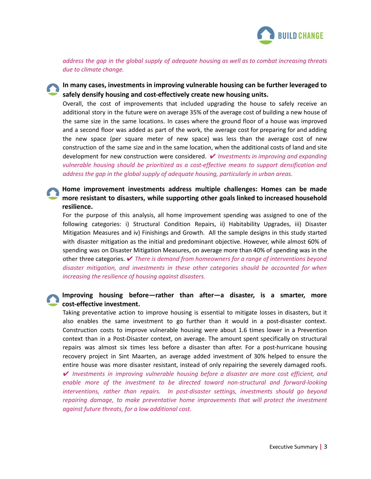

*address the gap in the global supply of adequate housing as well as to combat increasing threats due to climate change.*

#### **In many cases, investments in improving vulnerable housing can be further leveraged to safely densify housing and cost-effectively create new housing units.**

Overall, the cost of improvements that included upgrading the house to safely receive an additional story in the future were on average 35% of the average cost of building a new house of the same size in the same locations. In cases where the ground floor of a house was improved and a second floor was added as part of the work, the average cost for preparing for and adding the new space (per square meter of new space) was less than the average cost of new construction of the same size and in the same location, when the additional costs of land and site development for new construction were considered. ✔ *Investments in improving and expanding vulnerable housing should be prioritized as a cost-effective means to support densification and address the gap in the global supply of adequate housing, particularly in urban areas.*

#### **Home improvement investments address multiple challenges: Homes can be made more resistant to disasters, while supporting other goals linked to increased household resilience.**

For the purpose of this analysis, all home improvement spending was assigned to one of the following categories: i) Structural Condition Repairs, ii) Habitability Upgrades, iii) Disaster Mitigation Measures and iv) Finishings and Growth. All the sample designs in this study started with disaster mitigation as the initial and predominant objective. However, while almost 60% of spending was on Disaster Mitigation Measures, on average more than 40% of spending was in the other three categories. ✔ *There is demand from homeowners for a range of interventions beyond disaster mitigation, and investments in these other categories should be accounted for when increasing the resilience of housing against disasters.*

#### **Improving housing before—rather than after—a disaster, is a smarter, more cost-effective investment.**

Taking preventative action to improve housing is essential to mitigate losses in disasters, but it also enables the same investment to go further than it would in a post-disaster context. Construction costs to improve vulnerable housing were about 1.6 times lower in a Prevention context than in a Post-Disaster context, on average. The amount spent specifically on structural repairs was almost six times less before a disaster than after. For a post-hurricane housing recovery project in Sint Maarten, an average added investment of 30% helped to ensure the entire house was more disaster resistant, instead of only repairing the severely damaged roofs.

✔ *Investments in improving vulnerable housing before a disaster are more cost efficient, and enable more of the investment to be directed toward non-structural and forward-looking interventions, rather than repairs. In post-disaster settings, investments should go beyond repairing damage, to make preventative home improvements that will protect the investment against future threats, for a low additional cost.*